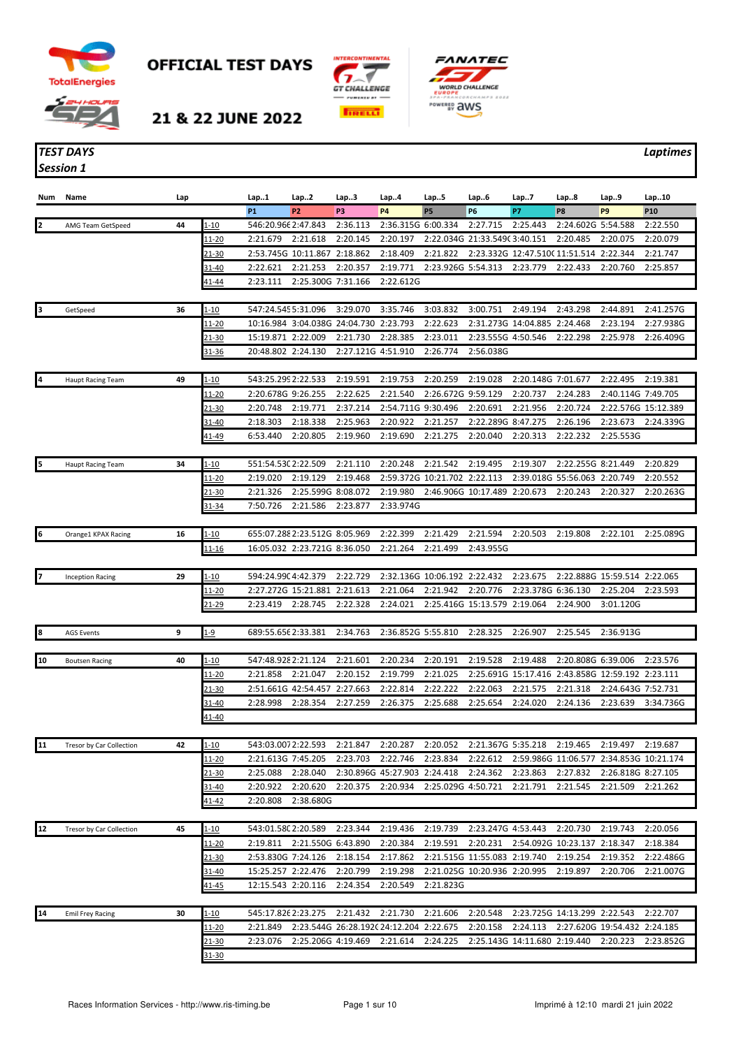

*Session 1*

**OFFICIAL TEST DAYS** 





 $\sim$ 

21 & 22 JUNE 2022

## *TEST DAYS Laptimes*

| Num | Name                     | Lap |               | Lap1                | Lap2                          | Lap3                           | Lap4                                    | Lap5                         | Lap6                            | Lap7                | Lap8                                    | Lap.9                        | Lap10      |
|-----|--------------------------|-----|---------------|---------------------|-------------------------------|--------------------------------|-----------------------------------------|------------------------------|---------------------------------|---------------------|-----------------------------------------|------------------------------|------------|
|     |                          |     |               | <b>P1</b>           | <b>P2</b>                     | P <sub>3</sub>                 | <b>P4</b>                               | <b>P5</b>                    | <b>P6</b>                       | P7                  | P <sub>8</sub>                          | P <sub>9</sub>               | <b>P10</b> |
|     | AMG Team GetSpeed        | 44  | $1 - 10$      | 546:20.966 2:47.843 |                               | 2:36.113                       | 2:36.315G 6:00.334                      |                              | 2:27.715                        | 2:25.443            | 2:24.602G 5:54.588                      |                              | 2:22.550   |
|     |                          |     | <u> 11-20</u> | 2:21.679            | 2:21.618                      | 2:20.145                       | 2:20.197                                |                              | 2:22.034G 21:33.549(3:40.151    |                     | 2:20.485                                | 2:20.075                     | 2:20.079   |
|     |                          |     | $21 - 30$     |                     | 2:53.745G 10:11.867 2:18.862  |                                | 2:18.409                                | 2:21.822                     |                                 |                     | 2:23.332G 12:47.510(11:51.514           | 2:22.344                     | 2:21.747   |
|     |                          |     | 31-40         | 2:22.621            | 2:21.253                      | 2:20.357                       | 2:19.771                                | 2:23.926G 5:54.313           |                                 | 2:23.779            | 2:22.433                                | 2:20.760                     | 2:25.857   |
|     |                          |     | 41-44         | 2:23.111            | 2:25.300G 7:31.166            |                                | 2:22.612G                               |                              |                                 |                     |                                         |                              |            |
|     |                          |     |               | 547:24.5455:31.096  |                               | 3:29.070                       | 3:35.746                                | 3:03.832                     |                                 | 2:49.194            | 2:43.298                                | 2:44.891                     | 2:41.257G  |
|     | GetSpeed                 | 36  | 1-10          |                     | 10:16.984 3:04.038G 24:04.730 |                                | 2:23.793                                | 2:22.623                     | 3:00.751                        | 2:31.273G 14:04.885 |                                         | 2:23.194                     | 2:27.938G  |
|     |                          |     | 11-20         | 15:19.871 2:22.009  |                               |                                |                                         | 2:23.011                     |                                 |                     | 2:24.468                                | 2:25.978                     |            |
|     |                          |     | 21-30         | 20:48.802 2:24.130  |                               | 2:21.730<br>2:27.121G 4:51.910 | 2:28.385                                | 2:26.774                     | 2:23.555G 4:50.546<br>2:56.038G |                     | 2:22.298                                |                              | 2:26.409G  |
|     |                          |     | 31-36         |                     |                               |                                |                                         |                              |                                 |                     |                                         |                              |            |
| I4. |                          | 49  |               |                     |                               |                                |                                         |                              |                                 |                     |                                         |                              |            |
|     | <b>Haupt Racing Team</b> |     | $1 - 10$      | 543:25.2992:22.533  |                               | 2:19.591                       | 2:19.753                                | 2:20.259                     | 2:19.028                        | 2:20.148G 7:01.677  |                                         | 2:22.495                     | 2:19.381   |
|     |                          |     | 11-20         | 2:20.678G 9:26.255  |                               | 2:22.625                       | 2:21.540                                | 2:26.672G 9:59.129           |                                 | 2:20.737            | 2:24.283                                | 2:40.114G 7:49.705           |            |
|     |                          |     | 21-30         | 2:20.748            | 2:19.771                      | 2:37.214                       | 2:54.711G 9:30.496                      |                              | 2:20.691                        | 2:21.956            | 2:20.724                                | 2:22.576G 15:12.389          |            |
|     |                          |     | 31-40         | 2:18.303            | 2:18.338                      | 2:25.963                       | 2:20.922                                | 2:21.257                     | 2:22.289G 8:47.275              |                     | 2:26.196                                | 2:23.673                     | 2:24.339G  |
|     |                          |     | 41-49         | 6:53.440            | 2:20.805                      | 2:19.960                       | 2:19.690                                | 2:21.275                     | 2:20.040                        | 2:20.313            | 2:22.232                                | 2:25.553G                    |            |
|     |                          |     |               |                     |                               |                                |                                         |                              |                                 |                     |                                         |                              |            |
|     | <b>Haupt Racing Team</b> | 34  | $1 - 10$      | 551:54.53(2:22.509  |                               | 2:21.110                       | 2:20.248                                | 2:21.542                     | 2:19.495                        | 2:19.307            | 2:22.255G 8:21.449                      |                              | 2:20.829   |
|     |                          |     | 11-20         | 2:19.020            | 2:19.129                      | 2:19.468                       |                                         | 2:59.372G 10:21.702 2:22.113 |                                 |                     | 2:39.018G 55:56.063                     | 2:20.749                     | 2:20.552   |
|     |                          |     | 21-30         | 2:21.326            | 2:25.599G 8:08.072            |                                | 2:19.980                                |                              | 2:46.906G 10:17.489 2:20.673    |                     | 2:20.243                                | 2:20.327                     | 2:20.263G  |
|     |                          |     | 31-34         | 7:50.726            | 2:21.586                      | 2:23.877                       | 2:33.974G                               |                              |                                 |                     |                                         |                              |            |
|     |                          |     |               |                     |                               |                                |                                         |                              |                                 |                     |                                         |                              |            |
| 16  | Orange1 KPAX Racing      | 16  | 1-10          |                     | 655:07.288 2:23.512G 8:05.969 |                                | 2:22.399                                | 2:21.429                     | 2:21.594                        | 2:20.503            | 2:19.808                                | 2:22.101                     | 2:25.089G  |
|     |                          |     | 11-16         |                     | 16:05.032 2:23.721G 8:36.050  |                                | 2:21.264                                | 2:21.499                     | 2:43.955G                       |                     |                                         |                              |            |
|     |                          |     |               |                     |                               |                                |                                         |                              |                                 |                     |                                         |                              |            |
|     | <b>Inception Racing</b>  | 29  | $1 - 10$      | 594:24.990 4:42.379 |                               | 2:22.729                       |                                         | 2:32.136G 10:06.192 2:22.432 |                                 | 2:23.675            |                                         | 2:22.888G 15:59.514 2:22.065 |            |
|     |                          |     | <u> 11-20</u> |                     | 2:27.272G 15:21.881 2:21.613  |                                | 2:21.064                                | 2:21.942                     | 2:20.776                        | 2:23.378G 6:36.130  |                                         | 2:25.204                     | 2:23.593   |
|     |                          |     | <u>21-29</u>  | 2:23.419            | 2:28.745                      | 2:22.328                       | 2:24.021                                |                              | 2:25.416G 15:13.579 2:19.064    |                     | 2:24.900                                | 3:01.120G                    |            |
|     |                          |     |               |                     |                               |                                |                                         |                              |                                 |                     |                                         |                              |            |
| 18  | <b>AGS Events</b>        | 9   | $1-9$         | 689:55.656 2:33.381 |                               | 2:34.763                       | 2:36.852G 5:55.810                      |                              | 2:28.325                        | 2:26.907            | 2:25.545                                | 2:36.913G                    |            |
|     |                          |     |               |                     |                               |                                |                                         |                              |                                 |                     |                                         |                              |            |
| 10  | <b>Boutsen Racing</b>    | 40  | 1-10          | 547:48.9282:21.124  |                               | 2:21.601                       | 2:20.234                                | 2:20.191                     | 2:19.528                        | 2:19.488            | 2:20.808G 6:39.006                      |                              | 2:23.576   |
|     |                          |     | 11-20         | 2:21.858            | 2:21.047                      | 2:20.152                       | 2:19.799                                | 2:21.025                     |                                 | 2:25.691G 15:17.416 |                                         | 2:43.858G 12:59.192 2:23.111 |            |
|     |                          |     | 21-30         |                     | 2:51.661G 42:54.457 2:27.663  |                                | 2:22.814                                | 2:22.222                     | 2:22.063                        | 2:21.575            | 2:21.318                                | 2:24.643G 7:52.731           |            |
|     |                          |     | 31-40         | 2:28.998            | 2:28.354                      | 2:27.259                       | 2:26.375                                | 2:25.688                     | 2:25.654                        | 2:24.020            | 2:24.136                                | 2:23.639                     | 3:34.736G  |
|     |                          |     | 41-40         |                     |                               |                                |                                         |                              |                                 |                     |                                         |                              |            |
|     |                          |     |               |                     |                               |                                |                                         |                              |                                 |                     |                                         |                              |            |
| 11  | Tresor by Car Collection | 42  | <u>1-10</u>   | 543:03.0072:22.593  |                               | 2:21.847                       | 2:20.287                                | 2:20.052                     | 2:21.367G 5:35.218              |                     | 2:19.465                                | 2:19.497                     | 2:19.687   |
|     |                          |     | <u> 11-20</u> | 2:21.613G 7:45.205  |                               | 2:23.703                       | 2:22.746                                | 2:23.834                     | 2:22.612                        |                     | 2:59.986G 11:06.577 2:34.853G 10:21.174 |                              |            |
|     |                          |     | <u>21-30</u>  | 2:25.088            | 2:28.040                      |                                | 2:30.896G 45:27.903 2:24.418            |                              | 2:24.362                        | 2:23.863            | 2:27.832                                | 2:26.818G 8:27.105           |            |
|     |                          |     | 31-40         | 2:20.922            | 2:20.620                      | 2:20.375                       | 2:20.934                                | 2:25.029G 4:50.721           |                                 | 2:21.791            | 2:21.545                                | 2:21.509                     | 2:21.262   |
|     |                          |     | 41-42         | 2:20.808            | 2:38.680G                     |                                |                                         |                              |                                 |                     |                                         |                              |            |
|     |                          |     |               |                     |                               |                                |                                         |                              |                                 |                     |                                         |                              |            |
| 12  | Tresor by Car Collection | 45  | $1 - 10$      | 543:01.580 2:20.589 |                               | 2:23.344                       | 2:19.436                                | 2:19.739                     | 2:23.247G 4:53.443              |                     | 2:20.730                                | 2:19.743                     | 2:20.056   |
|     |                          |     | <u> 11-20</u> |                     | 2:19.811 2:21.550G 6:43.890   |                                | 2:20.384                                | 2:19.591                     | 2:20.231                        |                     | 2:54.092G 10:23.137 2:18.347            |                              | 2:18.384   |
|     |                          |     | 21-30         | 2:53.830G 7:24.126  |                               | 2:18.154                       | 2:17.862                                |                              | 2:21.515G 11:55.083 2:19.740    |                     | 2:19.254                                | 2:19.352                     | 2:22.486G  |
|     |                          |     | <u>31-40</u>  | 15:25.257 2:22.476  |                               | 2:20.799                       | 2:19.298                                |                              | 2:21.025G 10:20.936 2:20.995    |                     | 2:19.897                                | 2:20.706                     | 2:21.007G  |
|     |                          |     | <u>41-45</u>  | 12:15.543 2:20.116  |                               | 2:24.354                       | 2:20.549                                | 2:21.823G                    |                                 |                     |                                         |                              |            |
|     |                          |     |               |                     |                               |                                |                                         |                              |                                 |                     |                                         |                              |            |
| 14  | <b>Emil Frey Racing</b>  | 30  | $1 - 10$      | 545:17.826 2:23.275 |                               | 2:21.432                       | 2:21.730                                | 2:21.606                     | 2:20.548                        |                     | 2:23.725G 14:13.299 2:22.543            |                              | 2:22.707   |
|     |                          |     | <u> 11-20</u> | 2:21.849            |                               |                                | 2:23.544G 26:28.1920 24:12.204 2:22.675 |                              | 2:20.158                        | 2:24.113            |                                         | 2:27.620G 19:54.432 2:24.185 |            |
|     |                          |     | 21-30         | 2:23.076            | 2:25.206G 4:19.469            |                                | 2:21.614                                | 2:24.225                     | 2:25.143G 14:11.680 2:19.440    |                     |                                         | 2:20.223                     | 2:23.852G  |
|     |                          |     | 31-30         |                     |                               |                                |                                         |                              |                                 |                     |                                         |                              |            |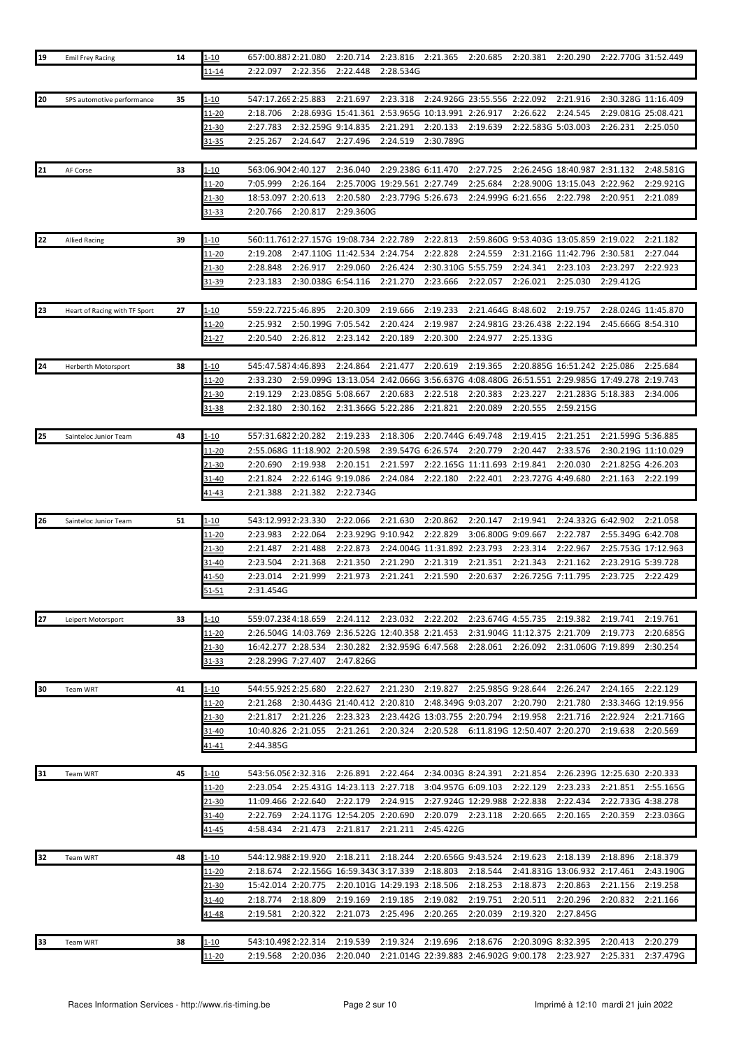| 19 | <b>Emil Frey Racing</b>       | 14 | 1-10                      | 657:00.8872:21.080              |                                        | 2:20.714             | 2:23.816 2:21.365 2:20.685                       |                    |                                                                                          | 2:20.381 2:20.290                      |                              | 2:22.770G 31:52.449          |                       |
|----|-------------------------------|----|---------------------------|---------------------------------|----------------------------------------|----------------------|--------------------------------------------------|--------------------|------------------------------------------------------------------------------------------|----------------------------------------|------------------------------|------------------------------|-----------------------|
|    |                               |    | 11-14                     | 2:22.097                        | 2:22.356                               | 2:22.448             | 2:28.534G                                        |                    |                                                                                          |                                        |                              |                              |                       |
|    |                               |    |                           |                                 |                                        |                      |                                                  |                    |                                                                                          |                                        |                              |                              |                       |
| 20 | SPS automotive performance    | 35 | $1 - 10$                  | 547:17.269 2:25.883             |                                        | 2:21.697             | 2:23.318                                         |                    | 2:24.926G 23:55.556 2:22.092                                                             |                                        | 2:21.916                     | 2:30.328G 11:16.409          |                       |
|    |                               |    |                           |                                 |                                        |                      |                                                  |                    |                                                                                          |                                        |                              |                              |                       |
|    |                               |    | <u> 11-20</u>             | 2:18.706                        | 2:28.693G 15:41.361                    |                      | 2:53.965G 10:13.991 2:26.917                     |                    |                                                                                          | 2:26.622                               | 2:24.545                     | 2:29.081G 25:08.421          |                       |
|    |                               |    | $21 - 30$                 | 2:27.783                        | 2:32.259G 9:14.835                     |                      | 2:21.291                                         | 2:20.133           | 2:19.639                                                                                 | 2:22.583G 5:03.003                     |                              | 2:26.231                     | 2:25.050              |
|    |                               |    | <u>31-35</u>              | 2:25.267                        | 2:24.647                               | 2:27.496             | 2:24.519                                         | 2:30.789G          |                                                                                          |                                        |                              |                              |                       |
|    |                               |    |                           |                                 |                                        |                      |                                                  |                    |                                                                                          |                                        |                              |                              |                       |
| 21 | AF Corse                      | 33 | 1-10                      | 563:06.9042:40.127              |                                        | 2:36.040             | 2:29.238G 6:11.470                               |                    | 2:27.725                                                                                 |                                        | 2:26.245G 18:40.987 2:31.132 |                              | 2:48.581G             |
|    |                               |    | 11-20                     | 7:05.999                        | 2:26.164                               |                      | 2:25.700G 19:29.561 2:27.749                     |                    | 2:25.684                                                                                 |                                        | 2:28.900G 13:15.043 2:22.962 |                              | 2:29.921G             |
|    |                               |    | 21-30                     | 18:53.097                       | 2:20.613                               | 2:20.580             | 2:23.779G 5:26.673                               |                    | 2:24.999G 6:21.656                                                                       |                                        | 2:22.798                     | 2:20.951                     | 2:21.089              |
|    |                               |    | 31-33                     | 2:20.766                        | 2:20.817                               | 2:29.360G            |                                                  |                    |                                                                                          |                                        |                              |                              |                       |
|    |                               |    |                           |                                 |                                        |                      |                                                  |                    |                                                                                          |                                        |                              |                              |                       |
|    |                               |    |                           |                                 |                                        |                      |                                                  |                    |                                                                                          |                                        |                              |                              |                       |
| 22 | <b>Allied Racing</b>          | 39 | $1 - 10$                  |                                 | 560:11.7612:27.157G 19:08.734 2:22.789 |                      |                                                  | 2:22.813           |                                                                                          | 2:59.860G 9:53.403G 13:05.859 2:19.022 |                              |                              | 2:21.182              |
|    |                               |    | <u> 11-20</u>             | 2:19.208                        | 2:47.110G 11:42.534 2:24.754           |                      |                                                  | 2:22.828           | 2:24.559                                                                                 |                                        | 2:31.216G 11:42.796 2:30.581 |                              | 2:27.044              |
|    |                               |    | <u>21-30</u>              | 2:28.848                        | 2:26.917                               | 2:29.060             | 2:26.424                                         | 2:30.310G 5:55.759 |                                                                                          | 2:24.341                               | 2:23.103                     | 2:23.297                     | 2:22.923              |
|    |                               |    | 31-39                     | 2:23.183                        | 2:30.038G 6:54.116                     |                      | 2:21.270                                         | 2:23.666           | 2:22.057                                                                                 | 2:26.021                               | 2:25.030                     | 2:29.412G                    |                       |
|    |                               |    |                           |                                 |                                        |                      |                                                  |                    |                                                                                          |                                        |                              |                              |                       |
| 23 | Heart of Racing with TF Sport | 27 | $1 - 10$                  | 559:22.7225:46.895              |                                        | 2:20.309             | 2:19.666                                         | 2:19.233           | 2:21.464G 8:48.602                                                                       |                                        | 2:19.757                     | 2:28.024G 11:45.870          |                       |
|    |                               |    | 11-20                     | 2:25.932                        | 2:50.199G 7:05.542                     |                      | 2:20.424                                         | 2:19.987           |                                                                                          | 2:24.981G 23:26.438 2:22.194           |                              | 2:45.666G 8:54.310           |                       |
|    |                               |    | 21-27                     | 2:20.540                        | 2:26.812                               | 2:23.142             | 2:20.189                                         | 2:20.300           | 2:24.977                                                                                 | 2:25.133G                              |                              |                              |                       |
|    |                               |    |                           |                                 |                                        |                      |                                                  |                    |                                                                                          |                                        |                              |                              |                       |
|    |                               |    |                           |                                 |                                        |                      |                                                  |                    |                                                                                          |                                        |                              |                              |                       |
| 24 | Herberth Motorsport           | 38 | 1-10                      | 545:47.5874:46.893              |                                        | 2:24.864             | 2:21.477                                         | 2:20.619           | 2:19.365                                                                                 |                                        | 2:20.885G 16:51.242 2:25.086 |                              | 2:25.684              |
|    |                               |    | 11-20                     | 2:33.230                        |                                        |                      |                                                  |                    | 2:59.099G 13:13.054 2:42.066G 3:56.637G 4:08.480G 26:51.551 2:29.985G 17:49.278 2:19.743 |                                        |                              |                              |                       |
|    |                               |    | 21-30                     | 2:19.129                        | 2:23.085G 5:08.667                     |                      | 2:20.683                                         | 2:22.518           | 2:20.383                                                                                 | 2:23.227                               | 2:21.283G 5:18.383           |                              | 2:34.006              |
|    |                               |    | 31-38                     | 2:32.180                        | 2:30.162                               | 2:31.366G 5:22.286   |                                                  | 2:21.821           | 2:20.089                                                                                 | 2:20.555                               | 2:59.215G                    |                              |                       |
|    |                               |    |                           |                                 |                                        |                      |                                                  |                    |                                                                                          |                                        |                              |                              |                       |
| 25 | Sainteloc Junior Team         | 43 | <u>1-10</u>               | 557:31.6822:20.282              |                                        | 2:19.233             | 2:18.306                                         | 2:20.744G 6:49.748 |                                                                                          | 2:19.415                               | 2:21.251                     | 2:21.599G 5:36.885           |                       |
|    |                               |    | <u> 11-20</u>             |                                 | 2:55.068G 11:18.902 2:20.598           |                      | 2:39.547G 6:26.574                               |                    | 2:20.779                                                                                 | 2:20.447                               | 2:33.576                     | 2:30.219G 11:10.029          |                       |
|    |                               |    |                           |                                 |                                        |                      |                                                  |                    |                                                                                          |                                        |                              |                              |                       |
|    |                               |    | <u>21-30</u>              | 2:20.690                        | 2:19.938                               | 2:20.151             | 2:21.597                                         |                    | 2:22.165G 11:11.693                                                                      | 2:19.841                               | 2:20.030                     | 2:21.825G 4:26.203           |                       |
|    |                               |    | 31-40                     | 2:21.824                        | 2:22.614G 9:19.086                     |                      | 2:24.084                                         | 2:22.180           | 2:22.401                                                                                 | 2:23.727G 4:49.680                     |                              | 2:21.163                     | 2:22.199              |
|    |                               |    | 41-43                     | 2:21.388                        | 2:21.382                               | 2:22.734G            |                                                  |                    |                                                                                          |                                        |                              |                              |                       |
|    |                               |    |                           |                                 |                                        |                      |                                                  |                    |                                                                                          |                                        |                              |                              |                       |
| 26 | Sainteloc Junior Team         | 51 | 1-10                      | 543:12.9932:23.330              |                                        | 2:22.066             | 2:21.630                                         | 2:20.862           | 2:20.147                                                                                 | 2:19.941                               | 2:24.332G 6:42.902           |                              | 2:21.058              |
|    |                               |    | 11-20                     | 2:23.983                        | 2:22.064                               | 2:23.929G 9:10.942   |                                                  | 2:22.829           | 3:06.800G 9:09.667                                                                       |                                        | 2:22.787                     | 2:55.349G 6:42.708           |                       |
|    |                               |    | 21-30                     | 2:21.487                        | 2:21.488                               | 2:22.873             | 2:24.004G 11:31.892 2:23.793                     |                    |                                                                                          | 2:23.314                               | 2:22.967                     | 2:25.753G 17:12.963          |                       |
|    |                               |    | 31-40                     | 2:23.504                        | 2:21.368                               | 2:21.350             | 2:21.290                                         | 2:21.319           | 2:21.351                                                                                 | 2:21.343                               | 2:21.162                     | 2:23.291G 5:39.728           |                       |
|    |                               |    | <u>41-50</u>              | 2:23.014                        | 2:21.999                               | 2:21.973             | 2:21.241                                         | 2:21.590           | 2:20.637                                                                                 | 2:26.725G 7:11.795                     |                              |                              | 2:22.429              |
|    |                               |    |                           |                                 |                                        |                      |                                                  |                    |                                                                                          |                                        |                              |                              |                       |
|    |                               |    |                           |                                 |                                        |                      |                                                  |                    |                                                                                          |                                        |                              | 2:23.725                     |                       |
|    |                               |    | $51 - 51$                 | 2:31.454G                       |                                        |                      |                                                  |                    |                                                                                          |                                        |                              |                              |                       |
|    |                               |    |                           |                                 |                                        |                      |                                                  |                    |                                                                                          |                                        |                              |                              |                       |
| 27 | Leipert Motorsport            | 33 | <u> 1-10</u>              | 559:07.2384:18.659              |                                        | 2:24.112 2:23.032    |                                                  | 2:22.202           | 2:23.674G 4:55.735                                                                       |                                        | 2:19.382                     | 2:19.741                     | 2:19.761              |
|    |                               |    | <u> 11-20</u>             |                                 |                                        |                      | 2:26.504G 14:03.769 2:36.522G 12:40.358 2:21.453 |                    |                                                                                          | 2:31.904G 11:12.375 2:21.709           |                              | 2:19.773                     | 2:20.685G             |
|    |                               |    | 21-30                     | 16:42.277 2:28.534              |                                        |                      | 2:30.282 2:32.959G 6:47.568                      |                    | 2:28.061                                                                                 | 2:26.092                               | 2:31.060G 7:19.899           |                              | 2:30.254              |
|    |                               |    | 31-33                     | 2:28.299G 7:27.407              |                                        | 2:47.826G            |                                                  |                    |                                                                                          |                                        |                              |                              |                       |
|    |                               |    |                           |                                 |                                        |                      |                                                  |                    |                                                                                          |                                        |                              |                              |                       |
| 30 |                               | 41 |                           | 544:55.929 2:25.680             |                                        | 2:22.627             | 2:21.230                                         | 2:19.827           | 2:25.985G 9:28.644                                                                       |                                        | 2:26.247                     | 2:24.165                     | 2:22.129              |
|    | Team WRT                      |    | 1-10                      |                                 |                                        |                      |                                                  |                    |                                                                                          |                                        |                              |                              |                       |
|    |                               |    | 11-20                     | 2:21.268                        | 2:30.443G 21:40.412 2:20.810           |                      |                                                  | 2:48.349G 9:03.207 |                                                                                          | 2:20.790                               | 2:21.780                     | 2:33.346G 12:19.956          |                       |
|    |                               |    | 21-30                     | 2:21.817                        | 2:21.226                               | 2:23.323             | 2:23.442G 13:03.755 2:20.794                     |                    |                                                                                          | 2:19.958                               | 2:21.716                     | 2:22.924                     | 2:21.716G             |
|    |                               |    | $31 - 40$                 | 10:40.826 2:21.055              |                                        | 2:21.261             | 2:20.324                                         | 2:20.528           |                                                                                          | 6:11.819G 12:50.407 2:20.270           |                              | 2:19.638                     | 2:20.569              |
|    |                               |    | <u>41-41</u>              | 2:44.385G                       |                                        |                      |                                                  |                    |                                                                                          |                                        |                              |                              |                       |
|    |                               |    |                           |                                 |                                        |                      |                                                  |                    |                                                                                          |                                        |                              |                              |                       |
| 31 | Team WRT                      | 45 | <u>1-10</u>               | 543:56.056 2:32.316             |                                        | 2:26.891             | 2:22.464                                         | 2:34.003G 8:24.391 |                                                                                          | 2:21.854                               |                              | 2:26.239G 12:25.630 2:20.333 |                       |
|    |                               |    | 11-20                     | 2:23.054                        | 2:25.431G 14:23.113 2:27.718           |                      |                                                  | 3:04.957G 6:09.103 |                                                                                          | 2:22.129                               | 2:23.233                     | 2:21.851                     | 2:55.165G             |
|    |                               |    | 21-30                     | 11:09.466 2:22.640              |                                        | 2:22.179             | 2:24.915                                         |                    | 2:27.924G 12:29.988 2:22.838                                                             |                                        | 2:22.434                     | 2:22.733G 4:38.278           |                       |
|    |                               |    |                           |                                 |                                        |                      |                                                  |                    |                                                                                          |                                        |                              |                              |                       |
|    |                               |    | 31-40                     | 2:22.769                        | 2:24.117G 12:54.205 2:20.690           |                      |                                                  | 2:20.079           | 2:23.118                                                                                 | 2:20.665                               | 2:20.165                     | 2:20.359                     | 2:23.036G             |
|    |                               |    | 41-45                     | 4:58.434                        | 2:21.473                               | 2:21.817             | 2:21.211                                         | 2:45.422G          |                                                                                          |                                        |                              |                              |                       |
|    |                               |    |                           |                                 |                                        |                      |                                                  |                    |                                                                                          |                                        |                              |                              |                       |
| 32 | Team WRT                      | 48 | 1-10                      | 544:12.988 2:19.920             |                                        | 2:18.211             | 2:18.244                                         | 2:20.656G 9:43.524 |                                                                                          | 2:19.623                               | 2:18.139                     | 2:18.896                     | 2:18.379              |
|    |                               |    | 11-20                     | 2:18.674                        | 2:22.156G 16:59.343C 3:17.339          |                      |                                                  | 2:18.803           | 2:18.544                                                                                 |                                        | 2:41.831G 13:06.932 2:17.461 |                              | 2:43.190G             |
|    |                               |    | <u>21-30</u>              | 15:42.014 2:20.775              |                                        |                      | 2:20.101G 14:29.193 2:18.506                     |                    | 2:18.253                                                                                 | 2:18.873                               | 2:20.863                     | 2:21.156                     | 2:19.258              |
|    |                               |    | 31-40                     | 2:18.774                        | 2:18.809                               | 2:19.169             | 2:19.185                                         | 2:19.082           | 2:19.751                                                                                 | 2:20.511                               | 2:20.296                     | 2:20.832                     | 2:21.166              |
|    |                               |    | 41-48                     | 2:19.581                        | 2:20.322                               | 2:21.073             | 2:25.496                                         | 2:20.265           | 2:20.039                                                                                 | 2:19.320                               | 2:27.845G                    |                              |                       |
|    |                               |    |                           |                                 |                                        |                      |                                                  |                    |                                                                                          |                                        |                              |                              |                       |
|    |                               |    |                           |                                 |                                        |                      |                                                  |                    |                                                                                          |                                        |                              |                              |                       |
| 33 | Team WRT                      | 38 | $1 - 10$<br><u> 11-20</u> | 543:10.498 2:22.314<br>2:19.568 | 2:20.036                               | 2:19.539<br>2:20.040 | 2:19.324                                         | 2:19.696           | 2:18.676<br>2:21.014G 22:39.883 2:46.902G 9:00.178                                       | 2:20.309G 8:32.395                     | 2:23.927                     | 2:20.413<br>2:25.331         | 2:20.279<br>2:37.479G |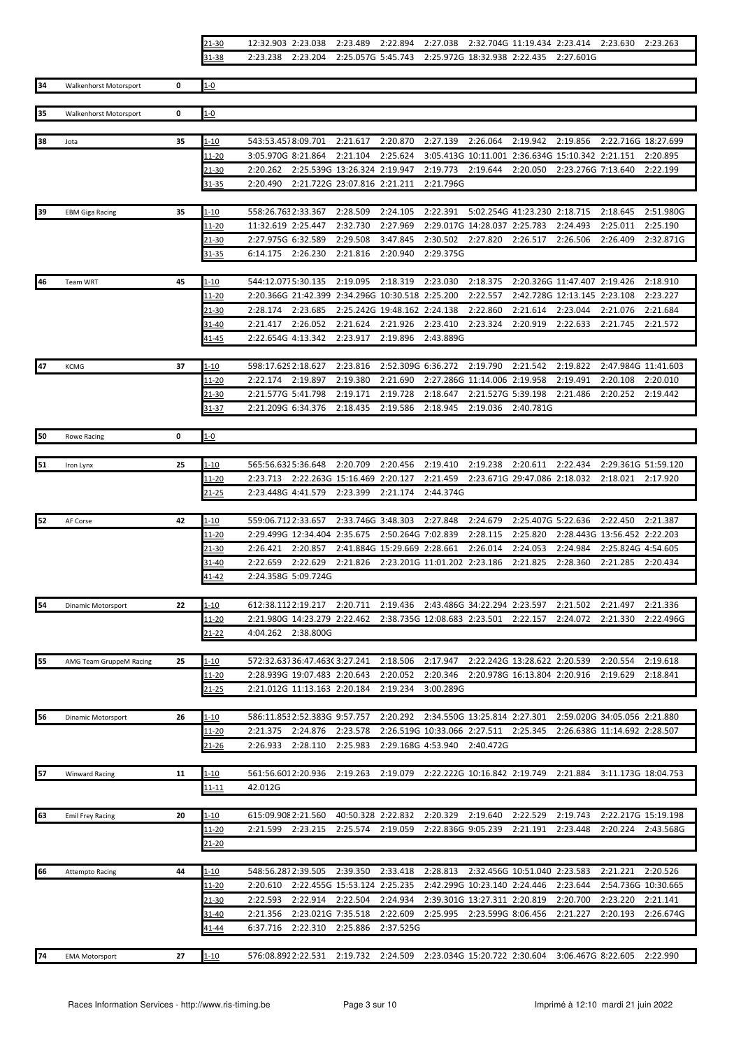| $21 - 30$ |  |  | 12:32.903 2:23.038 2:23.489 2:22.894 2:27.038 2:32.704G 11:19.434 2:23.414 2:23.630 2:23.263 |  |  |  |
|-----------|--|--|----------------------------------------------------------------------------------------------|--|--|--|
| 31-38     |  |  | 2:23.238  2:23.204  2:25.057G  5:45.743  2:25.972G  18:32.938  2:22.435  2:27.601G           |  |  |  |

| 34 | <b>Walkenhorst Motorsport</b> | 0  | $1 - 0$        |                                                                                                                                                                      |                                               |
|----|-------------------------------|----|----------------|----------------------------------------------------------------------------------------------------------------------------------------------------------------------|-----------------------------------------------|
| 35 | Walkenhorst Motorsport        | 0  | $1 - 0$        |                                                                                                                                                                      |                                               |
| 38 |                               | 35 | $1 - 10$       | 543:53.4578:09.701<br>2:21.617<br>2:20.870<br>2:27.139<br>2:26.064<br>2:19.942<br>2:19.856                                                                           | 2:22.716G 18:27.699                           |
|    | Jota                          |    | 11-20          | 3:05.970G 8:21.864<br>2:25.624<br>3:05.413G 10:11.001 2:36.634G 15:10.342 2:21.151<br>2:21.104                                                                       | 2:20.895                                      |
|    |                               |    | 21-30          | 2:20.262<br>2:25.539G 13:26.324 2:19.947<br>2:19.773<br>2:19.644<br>2:20.050                                                                                         | 2:23.276G 7:13.640<br>2:22.199                |
|    |                               |    | 31-35          | 2:21.796G<br>2:20.490<br>2:21.722G 23:07.816 2:21.211                                                                                                                |                                               |
|    |                               |    |                | 2:22.391                                                                                                                                                             |                                               |
| 39 | <b>EBM Giga Racing</b>        | 35 | 1-10           | 558:26.7632:33.367<br>2:28.509<br>2:24.105<br>5:02.254G 41:23.230 2:18.715<br>11:32.619 2:25.447<br>2:27.969<br>2:29.017G 14:28.037 2:25.783<br>2:24.493<br>2:32.730 | 2:18.645<br>2:51.980G<br>2:25.011<br>2:25.190 |
|    |                               |    | 11-20<br>21-30 | 2:27.975G 6:32.589<br>3:47.845<br>2:27.820<br>2:29.508<br>2:30.502<br>2:26.517<br>2:26.506                                                                           | 2:32.871G<br>2:26.409                         |
|    |                               |    | $31 - 35$      | 6:14.175<br>2:26.230<br>2:21.816<br>2:20.940<br>2:29.375G                                                                                                            |                                               |
|    |                               |    |                |                                                                                                                                                                      |                                               |
| 46 | <b>Team WRT</b>               | 45 | <u>1-10</u>    | 544:12.0775:30.135<br>2:19.095<br>2:18.319<br>2:23.030<br>2:18.375<br>2:20.326G 11:47.407 2:19.426<br>2:20.366G 21:42.399 2:34.296G 10:30.518 2:25.200<br>2:22.557   | 2:18.910                                      |
|    |                               |    | $11 - 20$      | 2:42.728G 12:13.145 2:23.108<br>2:28.174<br>2:23.685<br>2:21.614                                                                                                     | 2:23.227                                      |
|    |                               |    | 21-30<br>31-40 | 2:25.242G 19:48.162 2:24.138<br>2:22.860<br>2:23.044<br>2:21.417<br>2:26.052<br>2:21.624<br>2:21.926<br>2:23.410<br>2:23.324<br>2:20.919<br>2:22.633                 | 2:21.076<br>2:21.684<br>2:21.745<br>2:21.572  |
|    |                               |    | 41-45          | 2:22.654G 4:13.342<br>2:19.896<br>2:23.917<br>2:43.889G                                                                                                              |                                               |
|    |                               |    |                |                                                                                                                                                                      |                                               |
| 47 | <b>KCMG</b>                   | 37 | 1-10           | 598:17.629 2:18.627<br>2:23.816<br>2:52.309G 6:36.272<br>2:19.790<br>2:21.542<br>2:19.822                                                                            | 2:47.984G 11:41.603                           |
|    |                               |    | 11-20          | 2:22.174 2:19.897<br>2:19.380<br>2:21.690<br>2:27.286G 11:14.006 2:19.958<br>2:19.491                                                                                | 2:20.108<br>2:20.010                          |
|    |                               |    | 21-30          | 2:21.577G 5:41.798<br>2:19.728<br>2:21.486<br>2:19.171<br>2:18.647<br>2:21.527G 5:39.198                                                                             | 2:20.252<br>2:19.442                          |
|    |                               |    | $31 - 37$      | 2:21.209G 6:34.376<br>2:18.435<br>2:19.586<br>2:18.945<br>2:19.036<br>2:40.781G                                                                                      |                                               |
|    |                               |    |                |                                                                                                                                                                      |                                               |
| 50 | <b>Rowe Racing</b>            | 0  | $1 - 0$        |                                                                                                                                                                      |                                               |
| 51 | Iron Lynx                     | 25 | <u>1-10</u>    | 2:19.238<br>565:56.6325:36.648<br>2:20.709<br>2:20.456<br>2:19.410<br>2:20.611<br>2:22.434                                                                           | 2:29.361G 51:59.120                           |
|    |                               |    | 11-20          | 2:23.713<br>2:22.263G 15:16.469 2:20.127<br>2:21.459<br>2:23.671G 29:47.086 2:18.032                                                                                 | 2:18.021<br>2:17.920                          |
|    |                               |    | 21-25          | 2:23.448G 4:41.579<br>2:23.399<br>2:21.174<br>2:44.374G                                                                                                              |                                               |
|    |                               |    |                |                                                                                                                                                                      |                                               |
| 52 | AF Corse                      | 42 | $1 - 10$       | 559:06.7122:33.657<br>2:33.746G 3:48.303<br>2:27.848<br>2:24.679<br>2:25.407G 5:22.636                                                                               | 2:22.450<br>2:21.387                          |
|    |                               |    | 11-20          | 2:28.115<br>2:29.499G 12:34.404 2:35.675<br>2:50.264G 7:02.839<br>2:25.820                                                                                           | 2:28.443G 13:56.452 2:22.203                  |
|    |                               |    | 21-30          | 2:20.857<br>2:41.884G 15:29.669 2:28.661<br>2:26.014<br>2:24.053<br>2:24.984<br>2:26.421                                                                             | 2:25.824G 4:54.605                            |
|    |                               |    | 31-40          | 2:22.659<br>2:22.629<br>2:21.826<br>2:23.201G 11:01.202 2:23.186<br>2:21.825<br>2:28.360                                                                             | 2:21.285<br>2:20.434                          |
|    |                               |    | 41-42          | 2:24.358G 5:09.724G                                                                                                                                                  |                                               |
| 54 | <b>Dinamic Motorsport</b>     | 22 | $1 - 10$       | 612:38.1122:19.217<br>2:20.711<br>2:19.436<br>2:43.486G 34:22.294 2:23.597<br>2:21.502                                                                               | 2:21.497<br>2:21.336                          |
|    |                               |    | $11 - 20$      | 2:21.980G 14:23.279 2:22.462<br>2:38.735G 12:08.683 2:23.501<br>2:22.157<br>2:24.072                                                                                 | 2:21.330<br>2:22.496G                         |
|    |                               |    | $21 - 22$      | 4:04.262 2:38.800G                                                                                                                                                   |                                               |
|    |                               |    |                |                                                                                                                                                                      |                                               |
| 55 | AMG Team GruppeM Racing       | 25 | 1-10           | 2:18.506<br>2:17.947<br>2:22.242G 13:28.622 2:20.539<br>572:32.63736:47.46303:27.241                                                                                 | 2:20.554<br>2:19.618                          |
|    |                               |    | 11-20          | 2:28.939G 19:07.483 2:20.643<br>2:20.052<br>2:20.346<br>2:20.978G 16:13.804 2:20.916                                                                                 | 2:19.629<br>2:18.841                          |
|    |                               |    | 21-25          | 2:19.234<br>2:21.012G 11:13.163 2:20.184<br>3:00.289G                                                                                                                |                                               |
| 56 | Dinamic Motorsport            | 26 | $1 - 10$       | 586:11.8532:52.383G 9:57.757<br>2:34.550G 13:25.814 2:27.301<br>2:20.292                                                                                             | 2:59.020G 34:05.056 2:21.880                  |
|    |                               |    | $11 - 20$      | 2:24.876<br>2:23.578<br>2:26.519G 10:33.066 2:27.511<br>2:25.345<br>2:21.375                                                                                         | 2:26.638G 11:14.692 2:28.507                  |
|    |                               |    | <u>21-26</u>   | 2:26.933<br>2:28.110<br>2:25.983<br>2:29.168G 4:53.940<br>2:40.472G                                                                                                  |                                               |
|    |                               |    |                |                                                                                                                                                                      |                                               |
| 57 | <b>Winward Racing</b>         | 11 | $1 - 10$       | 561:56.6012:20.936<br>2:19.263<br>2:19.079<br>2:22.222G 10:16.842 2:19.749<br>2:21.884                                                                               | 3:11.173G 18:04.753                           |
|    |                               |    | $11 - 11$      | 42.012G                                                                                                                                                              |                                               |
| 63 |                               | 20 | l-10           | 2:20.329<br>615:09.908 2:21.560<br>40:50.328 2:22.832<br>2:19.640<br>2:22.529<br>2:19.743                                                                            | 2:22.217G 15:19.198                           |
|    | <b>Emil Frey Racing</b>       |    |                | 2:23.215<br>2:25.574<br>2:19.059<br>2:22.836G 9:05.239<br>2:21.191<br>2:23.448<br>2:21.599                                                                           | 2:20.224<br>2:43.568G                         |
|    |                               |    | 11-20<br>21-20 |                                                                                                                                                                      |                                               |
|    |                               |    |                |                                                                                                                                                                      |                                               |
| 66 | <b>Attempto Racing</b>        | 44 | 1-10           | 2:28.813<br>548:56.2872:39.505<br>2:39.350<br>2:33.418<br>2:32.456G 10:51.040 2:23.583                                                                               | 2:21.221<br>2:20.526                          |
|    |                               |    | $11 - 20$      | 2:22.455G 15:53.124 2:25.235<br>2:42.299G 10:23.140 2:24.446<br>2:23.644<br>2:20.610                                                                                 | 2:54.736G 10:30.665                           |
|    |                               |    | 21-30          | 2:22.593<br>2:22.914<br>2:22.504<br>2:24.934<br>2:20.700<br>2:39.301G 13:27.311 2:20.819                                                                             | 2:23.220<br>2:21.141                          |
|    |                               |    | 31-40          | 2:21.356<br>2:23.021G 7:35.518<br>2:22.609<br>2:23.599G 8:06.456<br>2:21.227<br>2:25.995                                                                             | 2:20.193<br>2:26.674G                         |
|    |                               |    | 11-44          | 6:37.716<br>2:22.310<br>2:25.886<br>2:37.525G                                                                                                                        |                                               |
|    |                               |    |                |                                                                                                                                                                      |                                               |
| 74 | <b>EMA Motorsport</b>         | 27 | $1 - 10$       | 576:08.8922:22.531<br>2:19.732 2:24.509<br>2:23.034G 15:20.722 2:30.604                                                                                              | 3:06.467G 8:22.605<br>2:22.990                |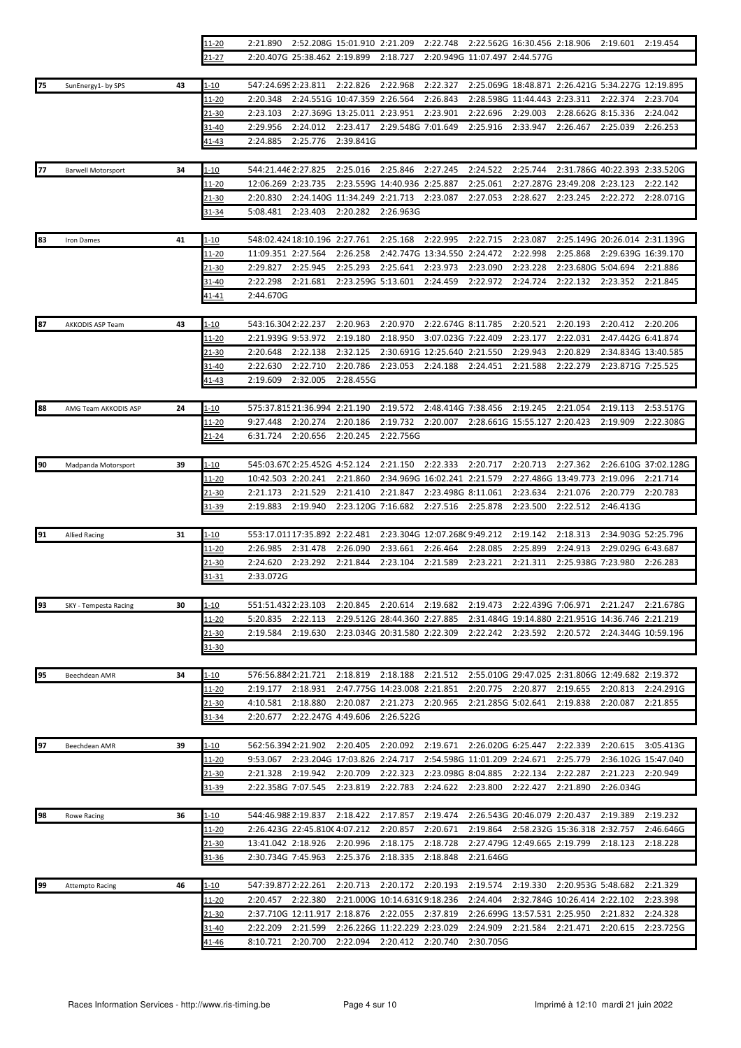|    |                           |    | <u> 11-20</u>          | 2:21.890                      |                                          | 2:52.208G 15:01.910 2:21.209                                 |                                          | 2:22.748                       |                                | 2:22.562G 16:30.456 2:18.906             |                              | 2:19.601                                          | 2:19.454              |
|----|---------------------------|----|------------------------|-------------------------------|------------------------------------------|--------------------------------------------------------------|------------------------------------------|--------------------------------|--------------------------------|------------------------------------------|------------------------------|---------------------------------------------------|-----------------------|
|    |                           |    | 21-27                  |                               | 2:20.407G 25:38.462 2:19.899             |                                                              | 2:18.727                                 |                                | 2:20.949G 11:07.497 2:44.577G  |                                          |                              |                                                   |                       |
|    |                           |    |                        |                               |                                          |                                                              |                                          |                                |                                |                                          |                              |                                                   |                       |
| 75 | SunEnergy1- by SPS        | 43 | 1-10                   | 547:24.6992:23.811            |                                          | 2:22.826                                                     | 2:22.968                                 | 2:22.327                       |                                |                                          |                              | 2:25.069G 18:48.871 2:26.421G 5:34.227G 12:19.895 |                       |
|    |                           |    | <u> 11-20</u><br>21-30 | 2:20.348<br>2:23.103          |                                          | 2:24.551G 10:47.359 2:26.564<br>2:27.369G 13:25.011 2:23.951 |                                          | 2:26.843<br>2:23.901           | 2:22.696                       | 2:28.598G 11:44.443 2:23.311<br>2:29.003 | 2:28.662G 8:15.336           | 2:22.374                                          | 2:23.704<br>2:24.042  |
|    |                           |    | 31-40                  | 2:29.956                      | 2:24.012                                 | 2:23.417                                                     | 2:29.548G 7:01.649                       |                                | 2:25.916                       | 2:33.947                                 | 2:26.467                     | 2:25.039                                          | 2:26.253              |
|    |                           |    | <u>41-43</u>           | 2:24.885                      | 2:25.776                                 | 2:39.841G                                                    |                                          |                                |                                |                                          |                              |                                                   |                       |
|    |                           |    |                        |                               |                                          |                                                              |                                          |                                |                                |                                          |                              |                                                   |                       |
| 77 | <b>Barwell Motorsport</b> | 34 | 1-10                   | 544:21.446 2:27.825           |                                          | 2:25.016                                                     | 2:25.846                                 | 2:27.245                       | 2:24.522                       | 2:25.744                                 |                              | 2:31.786G 40:22.393 2:33.520G                     |                       |
|    |                           |    | 11-20                  | 12:06.269 2:23.735            |                                          |                                                              | 2:23.559G 14:40.936 2:25.887             |                                | 2:25.061                       |                                          | 2:27.287G 23:49.208 2:23.123 |                                                   | 2:22.142              |
|    |                           |    | 21-30                  | 2:20.830                      |                                          | 2:24.140G 11:34.249 2:21.713                                 |                                          | 2:23.087                       | 2:27.053                       | 2:28.627                                 | 2:23.245                     | 2:22.272                                          | 2:28.071G             |
|    |                           |    | 31-34                  | 5:08.481                      | 2:23.403                                 | 2:20.282                                                     | 2:26.963G                                |                                |                                |                                          |                              |                                                   |                       |
|    |                           |    |                        |                               |                                          |                                                              |                                          |                                |                                |                                          |                              |                                                   |                       |
| 83 | <b>Iron Dames</b>         | 41 | 1-10                   |                               | 548:02.424 18:10.196 2:27.761            |                                                              | 2:25.168                                 | 2:22.995                       | 2:22.715                       | 2:23.087                                 |                              | 2:25.149G 20:26.014 2:31.139G                     |                       |
|    |                           |    | 11-20                  | 11:09.351 2:27.564            |                                          | 2:26.258                                                     |                                          | 2:42.747G 13:34.550            | 2:24.472                       | 2:22.998                                 | 2:25.868                     | 2:29.639G 16:39.170                               |                       |
|    |                           |    | $21 - 30$              | 2:29.827                      | 2:25.945                                 | 2:25.293                                                     | 2:25.641                                 | 2:23.973                       | 2:23.090                       | 2:23.228                                 | 2:23.680G 5:04.694           |                                                   | 2:21.886              |
|    |                           |    | 31-40                  | 2:22.298                      | 2:21.681                                 | 2:23.259G 5:13.601                                           |                                          | 2:24.459                       | 2:22.972                       | 2:24.724                                 | 2:22.132                     | 2:23.352                                          | 2:21.845              |
|    |                           |    | <u>41-41</u>           | 2:44.670G                     |                                          |                                                              |                                          |                                |                                |                                          |                              |                                                   |                       |
| 87 | AKKODIS ASP Team          | 43 | 1-10                   | 543:16.3042:22.237            |                                          | 2:20.963                                                     | 2:20.970                                 | 2:22.674G 8:11.785             |                                | 2:20.521                                 | 2:20.193                     | 2:20.412                                          | 2:20.206              |
|    |                           |    | 11-20                  | 2:21.939G 9:53.972            |                                          | 2:19.180                                                     | 2:18.950                                 | 3:07.023G 7:22.409             |                                | 2:23.177                                 | 2:22.031                     | 2:47.442G 6:41.874                                |                       |
|    |                           |    | 21-30                  | 2:20.648                      | 2:22.138                                 | 2:32.125                                                     |                                          | 2:30.691G 12:25.640 2:21.550   |                                | 2:29.943                                 | 2:20.829                     | 2:34.834G 13:40.585                               |                       |
|    |                           |    | 31-40                  | 2:22.630                      | 2:22.710                                 | 2:20.786                                                     | 2:23.053                                 | 2:24.188                       | 2:24.451                       | 2:21.588                                 | 2:22.279                     | 2:23.871G 7:25.525                                |                       |
|    |                           |    | 41-43                  | 2:19.609                      | 2:32.005                                 | 2:28.455G                                                    |                                          |                                |                                |                                          |                              |                                                   |                       |
|    |                           |    |                        |                               |                                          |                                                              |                                          |                                |                                |                                          |                              |                                                   |                       |
| 88 | AMG Team AKKODIS ASP      | 24 | $1 - 10$               | 575:37.815 21:36.994 2:21.190 |                                          |                                                              | 2:19.572                                 | 2:48.414G 7:38.456             |                                | 2:19.245                                 | 2:21.054                     | 2:19.113                                          | 2:53.517G             |
|    |                           |    | <u> 11-20</u>          | 9:27.448                      | 2:20.274                                 | 2:20.186                                                     | 2:19.732                                 | 2:20.007                       |                                | 2:28.661G 15:55.127 2:20.423             |                              | 2:19.909                                          | 2:22.308G             |
|    |                           |    | <u>21-24</u>           | 6:31.724                      | 2:20.656                                 | 2:20.245                                                     | 2:22.756G                                |                                |                                |                                          |                              |                                                   |                       |
|    |                           |    |                        |                               |                                          |                                                              |                                          |                                |                                |                                          |                              |                                                   |                       |
| 90 | Madpanda Motorsport       | 39 | $1 - 10$               | 545:03.67C 2:25.452G 4:52.124 |                                          |                                                              | 2:21.150                                 | 2:22.333                       | 2:20.717                       | 2:20.713                                 | 2:27.362                     |                                                   | 2:26.610G 37:02.128G  |
|    |                           |    | 11-20                  | 10:42.503 2:20.241            |                                          | 2:21.860                                                     |                                          | 2:34.969G 16:02.241 2:21.579   |                                | 2:27.486G 13:49.773                      |                              | 2:19.096                                          | 2:21.714              |
|    |                           |    | 21-30                  | 2:21.173<br>2:19.883          | 2:21.529<br>2:19.940                     | 2:21.410<br>2:23.120G 7:16.682                               | 2:21.847                                 | 2:23.498G 8:11.061<br>2:27.516 | 2:25.878                       | 2:23.634<br>2:23.500                     | 2:21.076<br>2:22.512         | 2:20.779<br>2:46.413G                             | 2:20.783              |
|    |                           |    | 31-39                  |                               |                                          |                                                              |                                          |                                |                                |                                          |                              |                                                   |                       |
| 91 | <b>Allied Racing</b>      | 31 | $1 - 10$               |                               | 553:17.01117:35.892 2:22.481             |                                                              |                                          | 2:23.304G 12:07.268C 9:49.212  |                                | 2:19.142                                 | 2:18.313                     | 2:34.903G 52:25.796                               |                       |
|    |                           |    | 11-20                  | 2:26.985                      | 2:31.478                                 | 2:26.090                                                     | 2:33.661                                 | 2:26.464                       | 2:28.085                       | 2:25.899                                 | 2:24.913                     | 2:29.029G 6:43.687                                |                       |
|    |                           |    | 21-30                  | 2:24.620                      | 2:23.292                                 | 2:21.844                                                     | 2:23.104                                 | 2:21.589                       | 2:23.221                       | 2:21.311                                 | 2:25.938G 7:23.980           |                                                   | 2:26.283              |
|    |                           |    | <u>31-31</u>           | 2:33.072G                     |                                          |                                                              |                                          |                                |                                |                                          |                              |                                                   |                       |
|    |                           |    |                        |                               |                                          |                                                              |                                          |                                |                                |                                          |                              |                                                   |                       |
| 93 | SKY - Tempesta Racing     | 30 | <u>1-10</u>            | 551:51.4322:23.103            |                                          |                                                              | 2:20.845 2:20.614 2:19.682               |                                |                                |                                          |                              | 2:19.473 2:22.439G 7:06.971 2:21.247 2:21.678G    |                       |
|    |                           |    | $11 - 20$              | 5:20.835                      | 2:22.113                                 |                                                              | 2:29.512G 28:44.360 2:27.885             |                                |                                |                                          |                              | 2:31.484G 19:14.880 2:21.951G 14:36.746 2:21.219  |                       |
|    |                           |    | 21-30                  | 2:19.584                      | 2:19.630                                 |                                                              | 2:23.034G 20:31.580 2:22.309             |                                | 2:22.242                       | 2:23.592                                 | 2:20.572                     | 2:24.344G 10:59.196                               |                       |
|    |                           |    | 31-30                  |                               |                                          |                                                              |                                          |                                |                                |                                          |                              |                                                   |                       |
|    |                           |    |                        |                               |                                          |                                                              |                                          |                                |                                |                                          |                              |                                                   |                       |
| 95 | Beechdean AMR             | 34 | 1-10                   | 576:56.8842:21.721            |                                          | 2:18.819                                                     | 2:18.188                                 | 2:21.512                       |                                |                                          |                              | 2:55.010G 29:47.025 2:31.806G 12:49.682 2:19.372  |                       |
|    |                           |    | 11-20<br>21-30         | 2:19.177<br>4:10.581          | 2:18.931<br>2:18.880                     | 2:20.087                                                     | 2:47.775G 14:23.008 2:21.851<br>2:21.273 | 2:20.965                       | 2:20.775<br>2:21.285G 5:02.641 | 2:20.877                                 | 2:19.655<br>2:19.838         | 2:20.813<br>2:20.087                              | 2:24.291G<br>2:21.855 |
|    |                           |    | 31-34                  | 2:20.677                      | 2:22.247G 4:49.606                       |                                                              | 2:26.522G                                |                                |                                |                                          |                              |                                                   |                       |
|    |                           |    |                        |                               |                                          |                                                              |                                          |                                |                                |                                          |                              |                                                   |                       |
| 97 | Beechdean AMR             | 39 | $1 - 10$               | 562:56.3942:21.902            |                                          | 2:20.405                                                     | 2:20.092                                 | 2:19.671                       | 2:26.020G 6:25.447             |                                          | 2:22.339                     | 2:20.615                                          | 3:05.413G             |
|    |                           |    | 11-20                  | 9:53.067                      |                                          | 2:23.204G 17:03.826 2:24.717                                 |                                          |                                | 2:54.598G 11:01.209 2:24.671   |                                          | 2:25.779                     | 2:36.102G 15:47.040                               |                       |
|    |                           |    | <u>21-30</u>           | 2:21.328                      | 2:19.942                                 | 2:20.709                                                     | 2:22.323                                 | 2:23.098G 8:04.885             |                                | 2:22.134                                 | 2:22.287                     | 2:21.223                                          | 2:20.949              |
|    |                           |    | 31-39                  | 2:22.358G 7:07.545            |                                          | 2:23.819                                                     | 2:22.783                                 | 2:24.622                       | 2:23.800                       | 2:22.427                                 | 2:21.890                     | 2:26.034G                                         |                       |
|    |                           |    |                        |                               |                                          |                                                              |                                          |                                |                                |                                          |                              |                                                   |                       |
| 98 | <b>Rowe Racing</b>        | 36 | $1 - 10$               | 544:46.988 2:19.837           |                                          | 2:18.422                                                     | 2:17.857                                 | 2:19.474                       |                                | 2:26.543G 20:46.079 2:20.437             |                              | 2:19.389                                          | 2:19.232              |
|    |                           |    | 11-20                  |                               | 2:26.423G 22:45.810C4:07.212             |                                                              | 2:20.857                                 | 2:20.671                       | 2:19.864                       |                                          | 2:58.232G 15:36.318 2:32.757 |                                                   | 2:46.646G             |
|    |                           |    | 21-30                  | 13:41.042 2:18.926            |                                          | 2:20.996                                                     | 2:18.175                                 | 2:18.728                       |                                |                                          | 2:27.479G 12:49.665 2:19.799 | 2:18.123                                          | 2:18.228              |
|    |                           |    | 31-36                  | 2:30.734G 7:45.963            |                                          | 2:25.376                                                     | 2:18.335                                 | 2:18.848                       | 2:21.646G                      |                                          |                              |                                                   |                       |
|    |                           |    |                        |                               |                                          |                                                              |                                          |                                |                                |                                          |                              |                                                   |                       |
| 99 | <b>Attempto Racing</b>    | 46 | $1 - 10$               | 547:39.8772:22.261            |                                          | 2:20.713                                                     | 2:20.172                                 | 2:20.193                       | 2:19.574                       | 2:19.330                                 | 2:20.953G 5:48.682           |                                                   | 2:21.329              |
|    |                           |    | <u> 11-20</u>          | 2:20.457                      | 2:22.380                                 |                                                              | 2:21.000G 10:14.631(9:18.236             |                                | 2:24.404                       |                                          | 2:32.784G 10:26.414 2:22.102 | 2:21.832                                          | 2:23.398              |
|    |                           |    | <u>21-30</u><br>31-40  | 2:22.209                      | 2:37.710G 12:11.917 2:18.876<br>2:21.599 |                                                              | 2:22.055<br>2:26.226G 11:22.229 2:23.029 | 2:37.819                       | 2:24.909                       | 2:26.699G 13:57.531 2:25.950<br>2:21.584 | 2:21.471                     | 2:20.615                                          | 2:24.328<br>2:23.725G |
|    |                           |    | <u>41-46</u>           | 8:10.721                      | 2:20.700                                 | 2:22.094                                                     | 2:20.412                                 | 2:20.740                       | 2:30.705G                      |                                          |                              |                                                   |                       |
|    |                           |    |                        |                               |                                          |                                                              |                                          |                                |                                |                                          |                              |                                                   |                       |